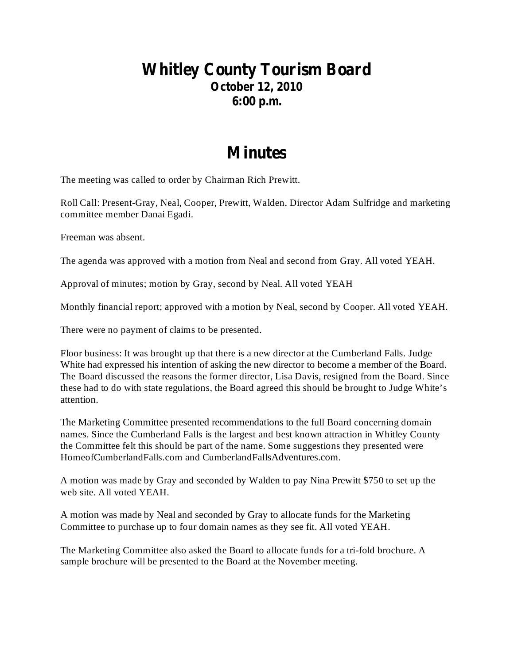## **Whitley County Tourism Board October 12, 2010 6:00 p.m.**

## **Minutes**

The meeting was called to order by Chairman Rich Prewitt.

Roll Call: Present-Gray, Neal, Cooper, Prewitt, Walden, Director Adam Sulfridge and marketing committee member Danai Egadi.

Freeman was absent.

The agenda was approved with a motion from Neal and second from Gray. All voted YEAH.

Approval of minutes; motion by Gray, second by Neal. All voted YEAH

Monthly financial report; approved with a motion by Neal, second by Cooper. All voted YEAH.

There were no payment of claims to be presented.

Floor business: It was brought up that there is a new director at the Cumberland Falls. Judge White had expressed his intention of asking the new director to become a member of the Board. The Board discussed the reasons the former director, Lisa Davis, resigned from the Board. Since these had to do with state regulations, the Board agreed this should be brought to Judge White's attention.

The Marketing Committee presented recommendations to the full Board concerning domain names. Since the Cumberland Falls is the largest and best known attraction in Whitley County the Committee felt this should be part of the name. Some suggestions they presented were HomeofCumberlandFalls.com and CumberlandFallsAdventures.com.

A motion was made by Gray and seconded by Walden to pay Nina Prewitt \$750 to set up the web site. All voted YEAH.

A motion was made by Neal and seconded by Gray to allocate funds for the Marketing Committee to purchase up to four domain names as they see fit. All voted YEAH.

The Marketing Committee also asked the Board to allocate funds for a tri-fold brochure. A sample brochure will be presented to the Board at the November meeting.